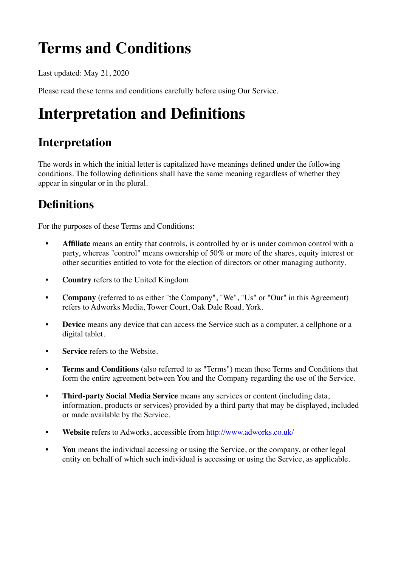## **Terms and Conditions**

Last updated: May 21, 2020

Please read these terms and conditions carefully before using Our Service.

## **Interpretation and Definitions**

### **Interpretation**

The words in which the initial letter is capitalized have meanings defined under the following conditions. The following definitions shall have the same meaning regardless of whether they appear in singular or in the plural.

### **Definitions**

For the purposes of these Terms and Conditions:

- **• Affiliate** means an entity that controls, is controlled by or is under common control with a party, whereas "control" means ownership of 50% or more of the shares, equity interest or other securities entitled to vote for the election of directors or other managing authority.
- **• Country** refers to the United Kingdom
- **• Company** (referred to as either "the Company", "We", "Us" or "Our" in this Agreement) refers to Adworks Media, Tower Court, Oak Dale Road, York.
- **• Device** means any device that can access the Service such as a computer, a cellphone or a digital tablet.
- **Service** refers to the Website.
- **• Terms and Conditions** (also referred to as "Terms") mean these Terms and Conditions that form the entire agreement between You and the Company regarding the use of the Service.
- **• Third-party Social Media Service** means any services or content (including data, information, products or services) provided by a third party that may be displayed, included or made available by the Service.
- **• Website** refers to Adworks, accessible from<http://www.adworks.co.uk/>
- **• You** means the individual accessing or using the Service, or the company, or other legal entity on behalf of which such individual is accessing or using the Service, as applicable.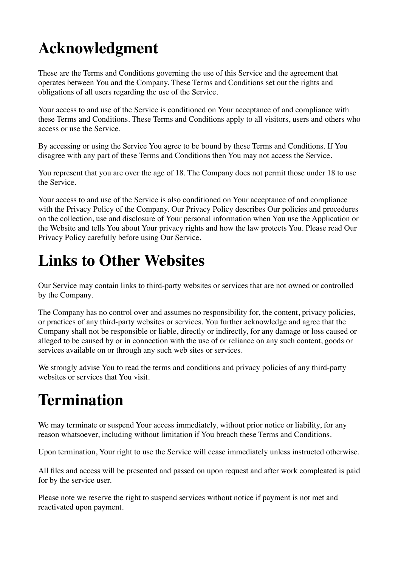## **Acknowledgment**

These are the Terms and Conditions governing the use of this Service and the agreement that operates between You and the Company. These Terms and Conditions set out the rights and obligations of all users regarding the use of the Service.

Your access to and use of the Service is conditioned on Your acceptance of and compliance with these Terms and Conditions. These Terms and Conditions apply to all visitors, users and others who access or use the Service.

By accessing or using the Service You agree to be bound by these Terms and Conditions. If You disagree with any part of these Terms and Conditions then You may not access the Service.

You represent that you are over the age of 18. The Company does not permit those under 18 to use the Service.

Your access to and use of the Service is also conditioned on Your acceptance of and compliance with the Privacy Policy of the Company. Our Privacy Policy describes Our policies and procedures on the collection, use and disclosure of Your personal information when You use the Application or the Website and tells You about Your privacy rights and how the law protects You. Please read Our Privacy Policy carefully before using Our Service.

## **Links to Other Websites**

Our Service may contain links to third-party websites or services that are not owned or controlled by the Company.

The Company has no control over and assumes no responsibility for, the content, privacy policies, or practices of any third-party websites or services. You further acknowledge and agree that the Company shall not be responsible or liable, directly or indirectly, for any damage or loss caused or alleged to be caused by or in connection with the use of or reliance on any such content, goods or services available on or through any such web sites or services.

We strongly advise You to read the terms and conditions and privacy policies of any third-party websites or services that You visit.

## **Termination**

We may terminate or suspend Your access immediately, without prior notice or liability, for any reason whatsoever, including without limitation if You breach these Terms and Conditions.

Upon termination, Your right to use the Service will cease immediately unless instructed otherwise.

All files and access will be presented and passed on upon request and after work compleated is paid for by the service user.

Please note we reserve the right to suspend services without notice if payment is not met and reactivated upon payment.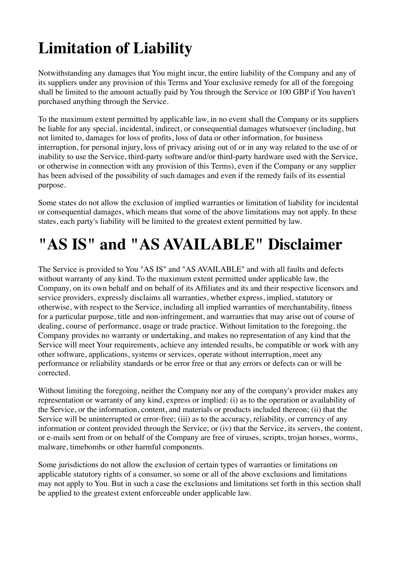# **Limitation of Liability**

Notwithstanding any damages that You might incur, the entire liability of the Company and any of its suppliers under any provision of this Terms and Your exclusive remedy for all of the foregoing shall be limited to the amount actually paid by You through the Service or 100 GBP if You haven't purchased anything through the Service.

To the maximum extent permitted by applicable law, in no event shall the Company or its suppliers be liable for any special, incidental, indirect, or consequential damages whatsoever (including, but not limited to, damages for loss of profits, loss of data or other information, for business interruption, for personal injury, loss of privacy arising out of or in any way related to the use of or inability to use the Service, third-party software and/or third-party hardware used with the Service, or otherwise in connection with any provision of this Terms), even if the Company or any supplier has been advised of the possibility of such damages and even if the remedy fails of its essential purpose.

Some states do not allow the exclusion of implied warranties or limitation of liability for incidental or consequential damages, which means that some of the above limitations may not apply. In these states, each party's liability will be limited to the greatest extent permitted by law.

## **"AS IS" and "AS AVAILABLE" Disclaimer**

The Service is provided to You "AS IS" and "AS AVAILABLE" and with all faults and defects without warranty of any kind. To the maximum extent permitted under applicable law, the Company, on its own behalf and on behalf of its Affiliates and its and their respective licensors and service providers, expressly disclaims all warranties, whether express, implied, statutory or otherwise, with respect to the Service, including all implied warranties of merchantability, fitness for a particular purpose, title and non-infringement, and warranties that may arise out of course of dealing, course of performance, usage or trade practice. Without limitation to the foregoing, the Company provides no warranty or undertaking, and makes no representation of any kind that the Service will meet Your requirements, achieve any intended results, be compatible or work with any other software, applications, systems or services, operate without interruption, meet any performance or reliability standards or be error free or that any errors or defects can or will be corrected.

Without limiting the foregoing, neither the Company nor any of the company's provider makes any representation or warranty of any kind, express or implied: (i) as to the operation or availability of the Service, or the information, content, and materials or products included thereon; (ii) that the Service will be uninterrupted or error-free; (iii) as to the accuracy, reliability, or currency of any information or content provided through the Service; or (iv) that the Service, its servers, the content, or e-mails sent from or on behalf of the Company are free of viruses, scripts, trojan horses, worms, malware, timebombs or other harmful components.

Some jurisdictions do not allow the exclusion of certain types of warranties or limitations on applicable statutory rights of a consumer, so some or all of the above exclusions and limitations may not apply to You. But in such a case the exclusions and limitations set forth in this section shall be applied to the greatest extent enforceable under applicable law.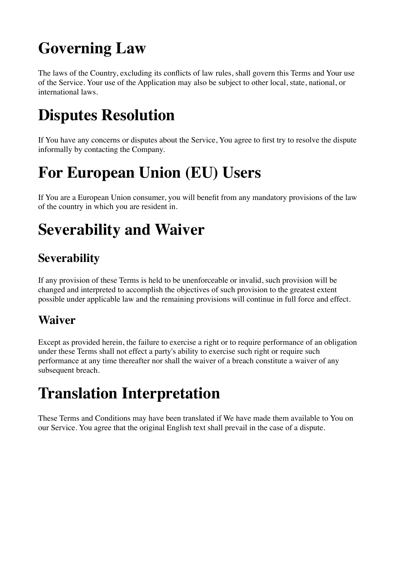## **Governing Law**

The laws of the Country, excluding its conflicts of law rules, shall govern this Terms and Your use of the Service. Your use of the Application may also be subject to other local, state, national, or international laws.

## **Disputes Resolution**

If You have any concerns or disputes about the Service, You agree to first try to resolve the dispute informally by contacting the Company.

## **For European Union (EU) Users**

If You are a European Union consumer, you will benefit from any mandatory provisions of the law of the country in which you are resident in.

## **Severability and Waiver**

### **Severability**

If any provision of these Terms is held to be unenforceable or invalid, such provision will be changed and interpreted to accomplish the objectives of such provision to the greatest extent possible under applicable law and the remaining provisions will continue in full force and effect.

#### **Waiver**

Except as provided herein, the failure to exercise a right or to require performance of an obligation under these Terms shall not effect a party's ability to exercise such right or require such performance at any time thereafter nor shall the waiver of a breach constitute a waiver of any subsequent breach.

## **Translation Interpretation**

These Terms and Conditions may have been translated if We have made them available to You on our Service. You agree that the original English text shall prevail in the case of a dispute.